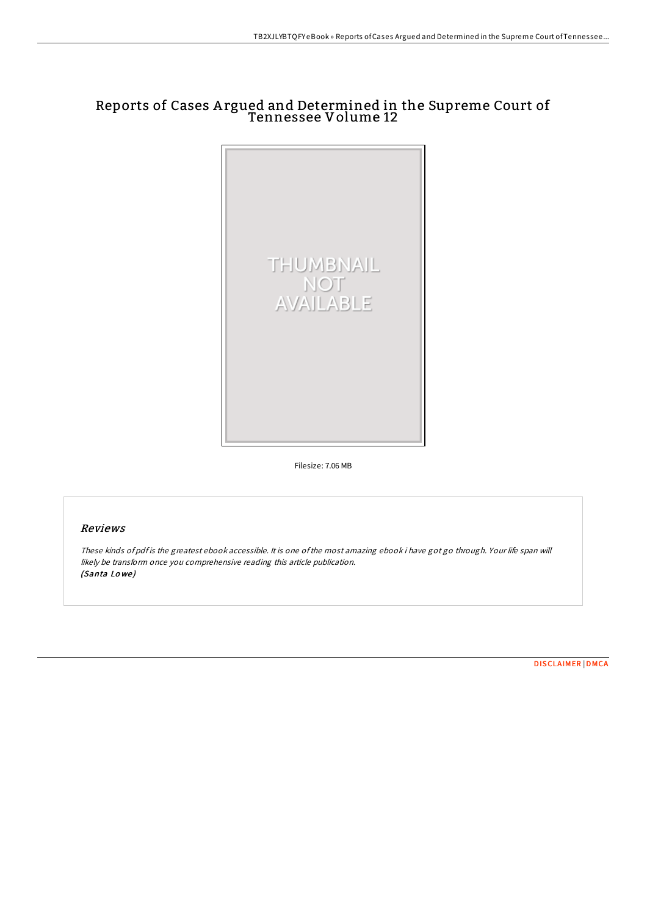## Reports of Cases A rgued and Determined in the Supreme Court of Tennessee Volume 12



Filesize: 7.06 MB

## Reviews

These kinds of pdf is the greatest ebook accessible. It is one ofthe most amazing ebook i have got go through. Your life span will likely be transform once you comprehensive reading this article publication. (Santa Lo we )

[DISCLAIMER](http://almighty24.tech/disclaimer.html) | [DMCA](http://almighty24.tech/dmca.html)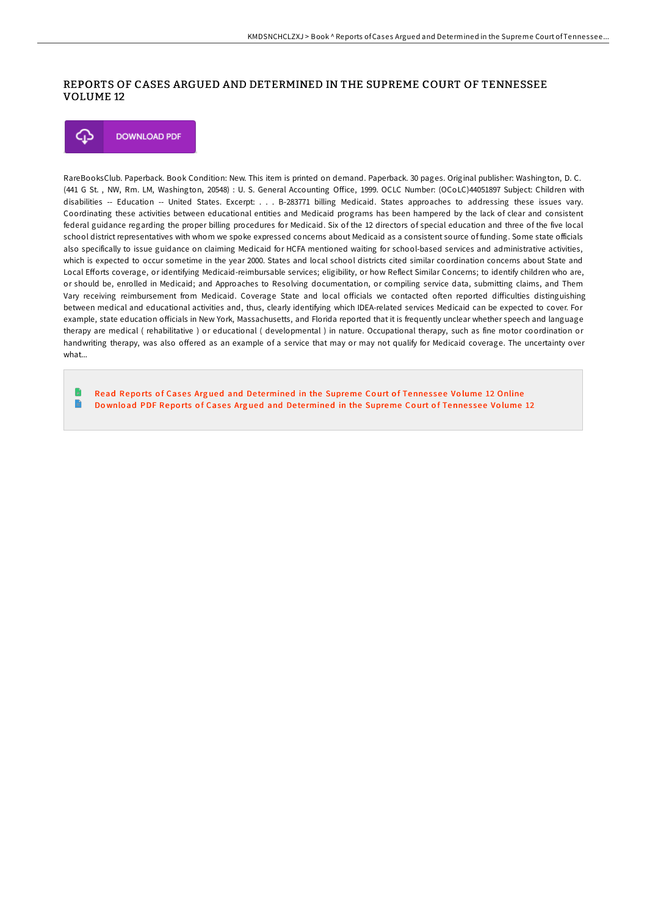## REPORTS OF CASES ARGUED AND DETERMINED IN THE SUPREME COURT OF TENNESSEE VOLUME 12

Φ **DOWNLOAD PDF** 

RareBooksClub. Paperback. Book Condition: New. This item is printed on demand. Paperback. 30 pages. Original publisher: Washington, D. C. (441 G St., NW, Rm. LM, Washington, 20548) : U. S. General Accounting Office, 1999. OCLC Number: (OCoLC)44051897 Subject: Children with disabilities -- Education -- United States. Excerpt: . . . B-283771 billing Medicaid. States approaches to addressing these issues vary. Coordinating these activities between educational entities and Medicaid programs has been hampered by the lack of clear and consistent federal guidance regarding the proper billing procedures for Medicaid. Six of the 12 directors of special education and three of the five local school district representatives with whom we spoke expressed concerns about Medicaid as a consistent source of funding. Some state officials also specifically to issue guidance on claiming Medicaid for HCFA mentioned waiting for school-based services and administrative activities, which is expected to occur sometime in the year 2000. States and local school districts cited similar coordination concerns about State and Local Efforts coverage, or identifying Medicaid-reimbursable services; eligibility, or how Reflect Similar Concerns; to identify children who are, or should be, enrolled in Medicaid; and Approaches to Resolving documentation, or compiling service data, submitting claims, and Them Vary receiving reimbursement from Medicaid. Coverage State and local officials we contacted often reported difficulties distinguishing between medical and educational activities and, thus, clearly identifying which IDEA-related services Medicaid can be expected to cover. For example, state education officials in New York, Massachusetts, and Florida reported that it is frequently unclear whether speech and language therapy are medical ( rehabilitative ) or educational ( developmental ) in nature. Occupational therapy, such as fine motor coordination or handwriting therapy, was also offered as an example of a service that may or may not qualify for Medicaid coverage. The uncertainty over what

Read Reports of Cases Argued and Determined in the [Supreme](http://almighty24.tech/reports-of-cases-argued-and-determined-in-the-su-52.html) Court of Tennessee Volume 12 Online  $\blacksquare$ Download PDF Reports of Cases Argued and Determined in the [Supreme](http://almighty24.tech/reports-of-cases-argued-and-determined-in-the-su-52.html) Court of Tennessee Volume 12